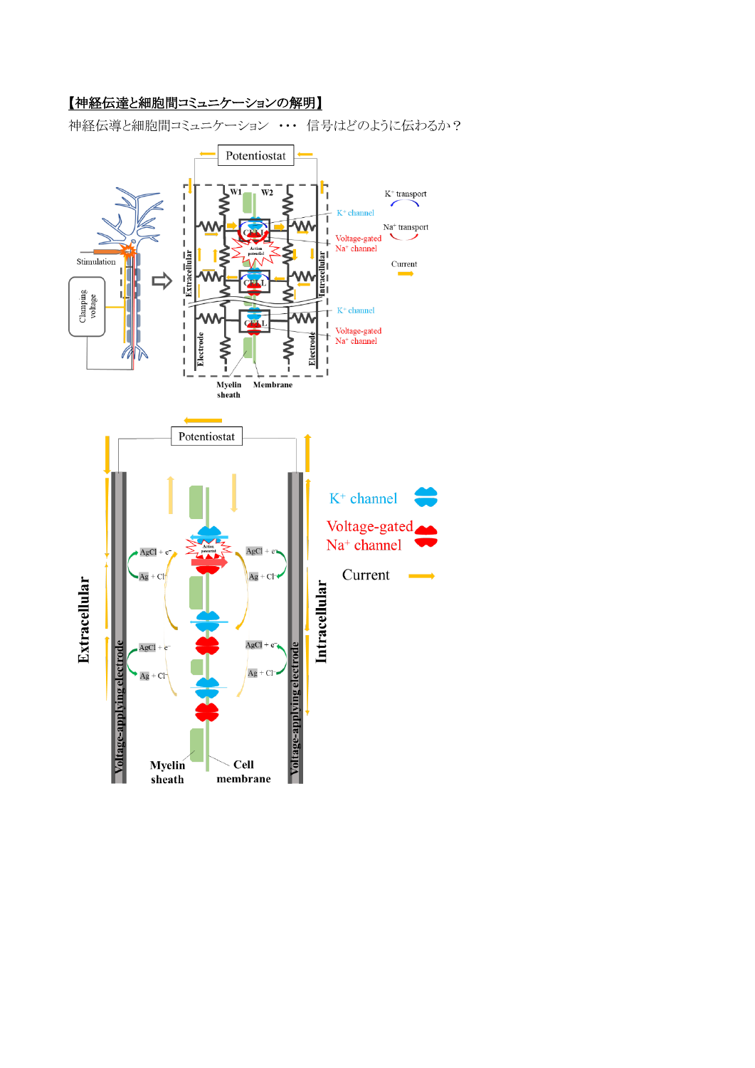## 【神経伝達と細胞間コミュニケーションの解明】

神経伝導と細胞間コミュニケーション ・・・ 信号はどのように伝わるか?

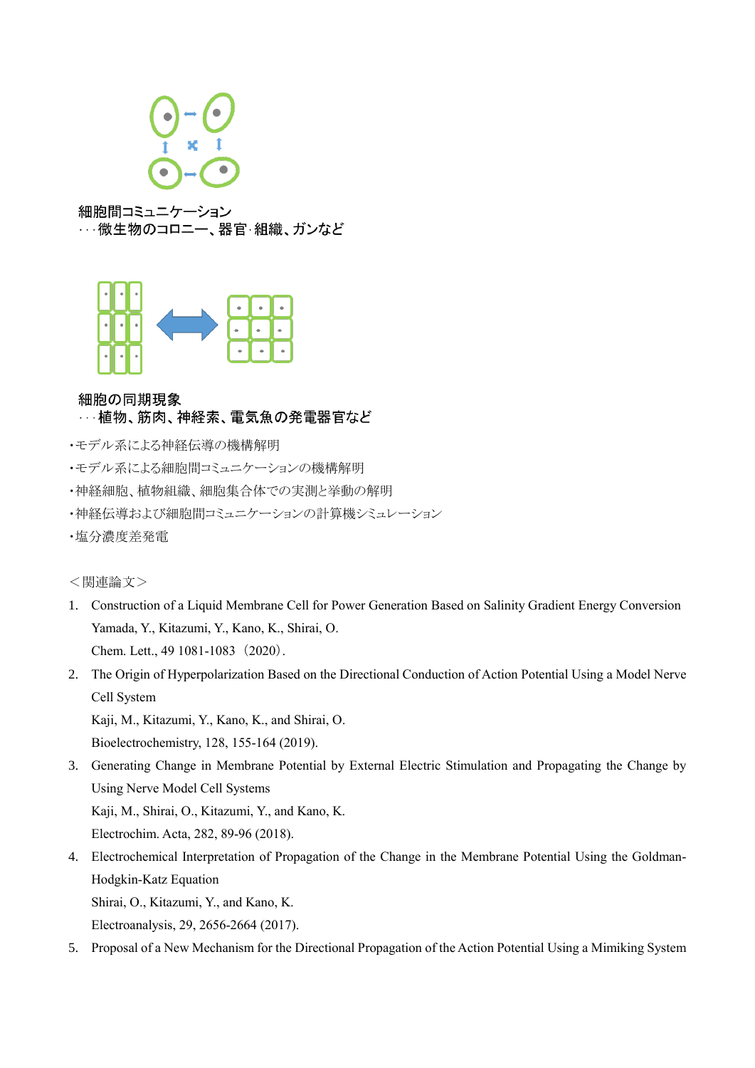

細胞間コミュニケーション …微生物のコロニー、器官 組織、ガンなど



## 細胞の同期現象

## …植物、筋肉、神経索、電気魚の発電器官など

- ・モデル系による神経伝導の機構解明
- ・モデル系による細胞間コミュニケーションの機構解明
- ・神経細胞、植物組織、細胞集合体での実測と挙動の解明
- ・神経伝導および細胞間コミュニケーションの計算機シミュレーション
- ・塩分濃度差発電

<関連論文>

- 1. Construction of a Liquid Membrane Cell for Power Generation Based on Salinity Gradient Energy Conversion Yamada, Y., Kitazumi, Y., Kano, K., Shirai, O. Chem. Lett., 49 1081-1083 (2020).
- 2. The Origin of Hyperpolarization Based on the Directional Conduction of Action Potential Using a Model Nerve Cell System

Kaji, M., Kitazumi, Y., Kano, K., and Shirai, O. Bioelectrochemistry, 128, 155-164 (2019).

3. Generating Change in Membrane Potential by External Electric Stimulation and Propagating the Change by Using Nerve Model Cell Systems Kaji, M., Shirai, O., Kitazumi, Y., and Kano, K.

Electrochim. Acta, 282, 89-96 (2018).

4. Electrochemical Interpretation of Propagation of the Change in the Membrane Potential Using the Goldman-Hodgkin-Katz Equation Shirai, O., Kitazumi, Y., and Kano, K.

Electroanalysis, 29, 2656-2664 (2017).

5. Proposal of a New Mechanism for the Directional Propagation of the Action Potential Using a Mimiking System